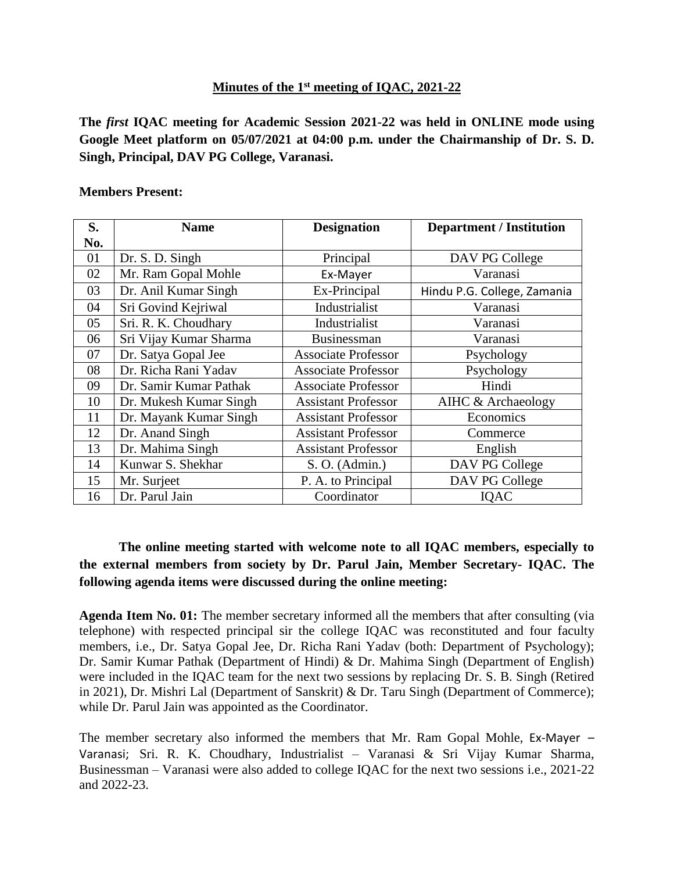## **Minutes of the 1 st meeting of IQAC, 2021-22**

**The** *first* **IQAC meeting for Academic Session 2021-22 was held in ONLINE mode using Google Meet platform on 05/07/2021 at 04:00 p.m. under the Chairmanship of Dr. S. D. Singh, Principal, DAV PG College, Varanasi.**

## **Members Present:**

| S.  | <b>Name</b>            | <b>Designation</b>         | <b>Department / Institution</b> |
|-----|------------------------|----------------------------|---------------------------------|
| No. |                        |                            |                                 |
| 01  | Dr. S. D. Singh        | Principal                  | DAV PG College                  |
| 02  | Mr. Ram Gopal Mohle    | Ex-Mayer                   | Varanasi                        |
| 03  | Dr. Anil Kumar Singh   | Ex-Principal               | Hindu P.G. College, Zamania     |
| 04  | Sri Govind Kejriwal    | Industrialist              | Varanasi                        |
| 05  | Sri. R. K. Choudhary   | Industrialist              | Varanasi                        |
| 06  | Sri Vijay Kumar Sharma | <b>Businessman</b>         | Varanasi                        |
| 07  | Dr. Satya Gopal Jee    | <b>Associate Professor</b> | Psychology                      |
| 08  | Dr. Richa Rani Yadav   | <b>Associate Professor</b> | Psychology                      |
| 09  | Dr. Samir Kumar Pathak | <b>Associate Professor</b> | Hindi                           |
| 10  | Dr. Mukesh Kumar Singh | <b>Assistant Professor</b> | AIHC & Archaeology              |
| 11  | Dr. Mayank Kumar Singh | <b>Assistant Professor</b> | Economics                       |
| 12  | Dr. Anand Singh        | <b>Assistant Professor</b> | Commerce                        |
| 13  | Dr. Mahima Singh       | <b>Assistant Professor</b> | English                         |
| 14  | Kunwar S. Shekhar      | S. O. (Admin.)             | DAV PG College                  |
| 15  | Mr. Surjeet            | P. A. to Principal         | DAV PG College                  |
| 16  | Dr. Parul Jain         | Coordinator                | <b>IQAC</b>                     |

## **The online meeting started with welcome note to all IQAC members, especially to the external members from society by Dr. Parul Jain, Member Secretary- IQAC. The following agenda items were discussed during the online meeting:**

**Agenda Item No. 01:** The member secretary informed all the members that after consulting (via telephone) with respected principal sir the college IQAC was reconstituted and four faculty members, i.e., Dr. Satya Gopal Jee, Dr. Richa Rani Yadav (both: Department of Psychology); Dr. Samir Kumar Pathak (Department of Hindi) & Dr. Mahima Singh (Department of English) were included in the IQAC team for the next two sessions by replacing Dr. S. B. Singh (Retired in 2021), Dr. Mishri Lal (Department of Sanskrit) & Dr. Taru Singh (Department of Commerce); while Dr. Parul Jain was appointed as the Coordinator.

The member secretary also informed the members that Mr. Ram Gopal Mohle, Ex-Mayer – Varanasi; Sri. R. K. Choudhary, Industrialist – Varanasi & Sri Vijay Kumar Sharma, Businessman – Varanasi were also added to college IQAC for the next two sessions i.e., 2021-22 and 2022-23.